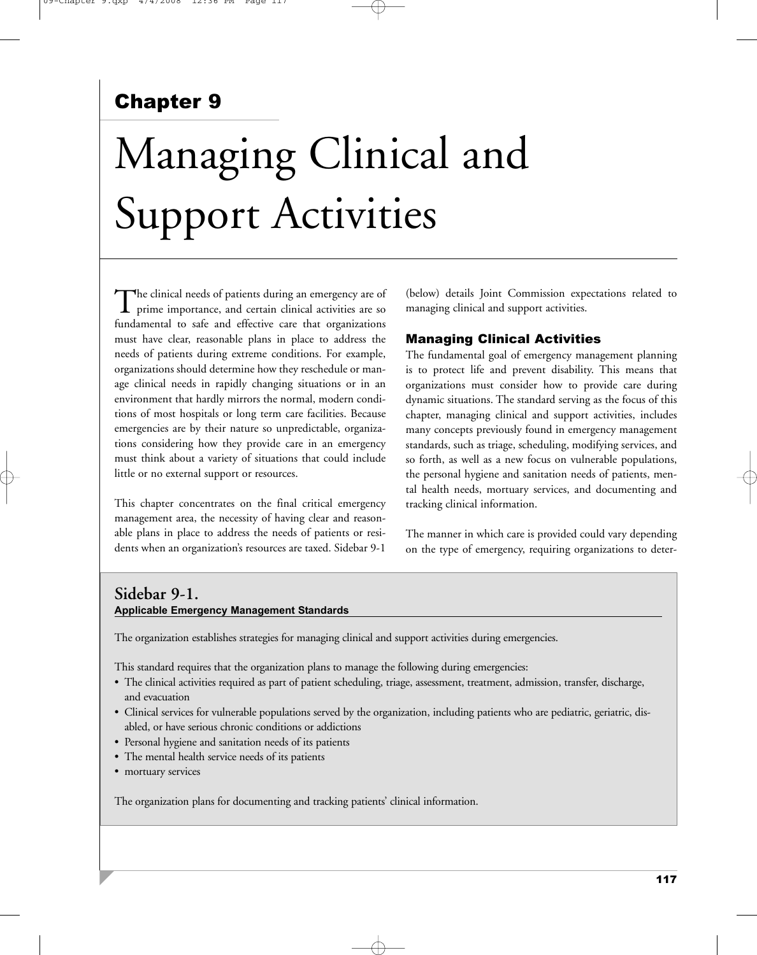## Chapter 9

# Managing Clinical and Support Activities

The clinical needs of patients during an emergency are of<br>prime importance, and certain clinical activities are so fundamental to safe and effective care that organizations must have clear, reasonable plans in place to address the needs of patients during extreme conditions. For example, organizations should determine how they reschedule or manage clinical needs in rapidly changing situations or in an environment that hardly mirrors the normal, modern conditions of most hospitals or long term care facilities. Because emergencies are by their nature so unpredictable, organizations considering how they provide care in an emergency must think about a variety of situations that could include little or no external support or resources.

This chapter concentrates on the final critical emergency management area, the necessity of having clear and reasonable plans in place to address the needs of patients or residents when an organization's resources are taxed. Sidebar 9-1

(below) details Joint Commission expectations related to managing clinical and support activities.

#### Managing Clinical Activities

The fundamental goal of emergency management planning is to protect life and prevent disability. This means that organizations must consider how to provide care during dynamic situations. The standard serving as the focus of this chapter, managing clinical and support activities, includes many concepts previously found in emergency management standards, such as triage, scheduling, modifying services, and so forth, as well as a new focus on vulnerable populations, the personal hygiene and sanitation needs of patients, mental health needs, mortuary services, and documenting and tracking clinical information.

The manner in which care is provided could vary depending on the type of emergency, requiring organizations to deter-

#### **Sidebar 9-1. Applicable Emergency Management Standards**

The organization establishes strategies for managing clinical and support activities during emergencies.

This standard requires that the organization plans to manage the following during emergencies:

- The clinical activities required as part of patient scheduling, triage, assessment, treatment, admission, transfer, discharge, and evacuation
- Clinical services for vulnerable populations served by the organization, including patients who are pediatric, geriatric, disabled, or have serious chronic conditions or addictions
- Personal hygiene and sanitation needs of its patients
- The mental health service needs of its patients
- mortuary services

The organization plans for documenting and tracking patients' clinical information.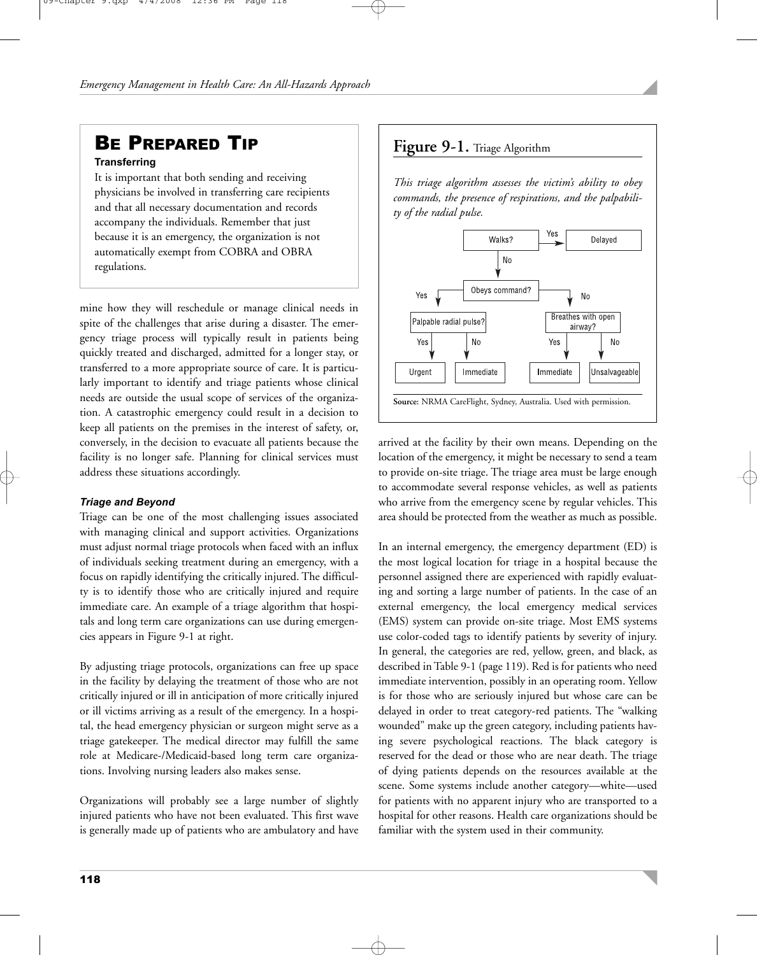## **BE PREPARED TIP Figure 9-1.** Triage Algorithm

#### **Transferring**

It is important that both sending and receiving physicians be involved in transferring care recipients and that all necessary documentation and records accompany the individuals. Remember that just because it is an emergency, the organization is not automatically exempt from COBRA and OBRA regulations.

mine how they will reschedule or manage clinical needs in spite of the challenges that arise during a disaster. The emergency triage process will typically result in patients being quickly treated and discharged, admitted for a longer stay, or transferred to a more appropriate source of care. It is particularly important to identify and triage patients whose clinical needs are outside the usual scope of services of the organization. A catastrophic emergency could result in a decision to keep all patients on the premises in the interest of safety, or, conversely, in the decision to evacuate all patients because the facility is no longer safe. Planning for clinical services must address these situations accordingly.

#### *Triage and Beyond*

Triage can be one of the most challenging issues associated with managing clinical and support activities. Organizations must adjust normal triage protocols when faced with an influx of individuals seeking treatment during an emergency, with a focus on rapidly identifying the critically injured. The difficulty is to identify those who are critically injured and require immediate care. An example of a triage algorithm that hospitals and long term care organizations can use during emergencies appears in Figure 9-1 at right.

By adjusting triage protocols, organizations can free up space in the facility by delaying the treatment of those who are not critically injured or ill in anticipation of more critically injured or ill victims arriving as a result of the emergency. In a hospital, the head emergency physician or surgeon might serve as a triage gatekeeper. The medical director may fulfill the same role at Medicare-/Medicaid-based long term care organizations. Involving nursing leaders also makes sense.

Organizations will probably see a large number of slightly injured patients who have not been evaluated. This first wave is generally made up of patients who are ambulatory and have

*This triage algorithm assesses the victim's ability to obey commands, the presence of respirations, and the palpability of the radial pulse.*



arrived at the facility by their own means. Depending on the location of the emergency, it might be necessary to send a team to provide on-site triage. The triage area must be large enough to accommodate several response vehicles, as well as patients who arrive from the emergency scene by regular vehicles. This area should be protected from the weather as much as possible.

In an internal emergency, the emergency department (ED) is the most logical location for triage in a hospital because the personnel assigned there are experienced with rapidly evaluating and sorting a large number of patients. In the case of an external emergency, the local emergency medical services (EMS) system can provide on-site triage. Most EMS systems use color-coded tags to identify patients by severity of injury. In general, the categories are red, yellow, green, and black, as described in Table 9-1 (page 119). Red is for patients who need immediate intervention, possibly in an operating room. Yellow is for those who are seriously injured but whose care can be delayed in order to treat category-red patients. The "walking wounded" make up the green category, including patients having severe psychological reactions. The black category is reserved for the dead or those who are near death. The triage of dying patients depends on the resources available at the scene. Some systems include another category—white—used for patients with no apparent injury who are transported to a hospital for other reasons. Health care organizations should be familiar with the system used in their community.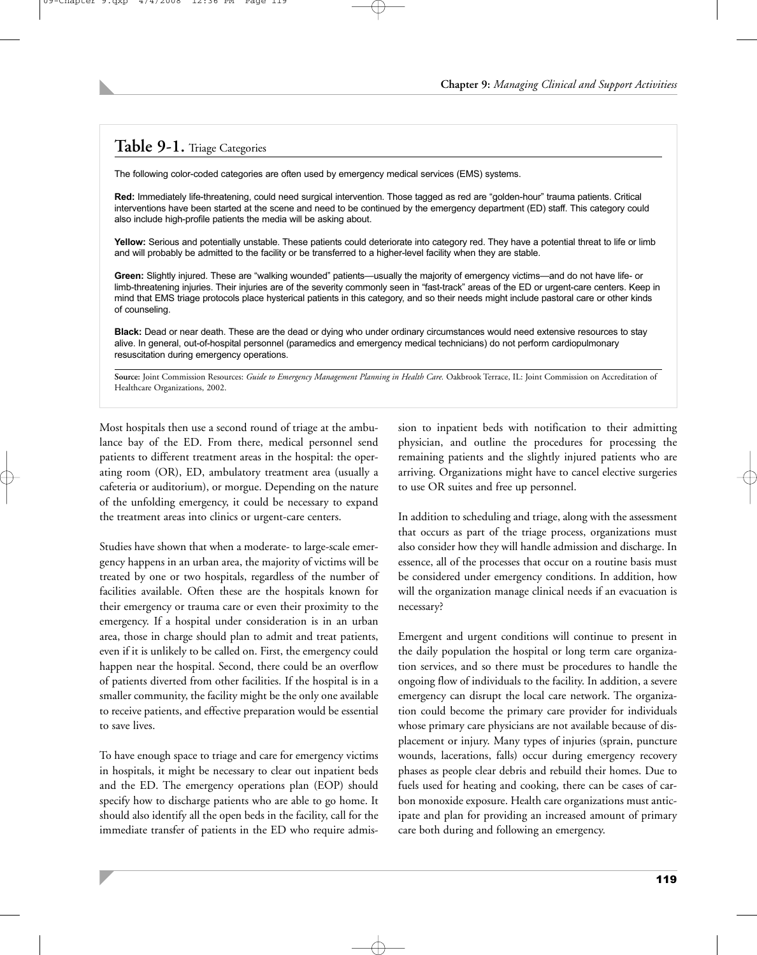### **Table 9-1.** Triage Categories

The following color-coded categories are often used by emergency medical services (EMS) systems.

**Red:** Immediately life-threatening, could need surgical intervention. Those tagged as red are "golden-hour" trauma patients. Critical interventions have been started at the scene and need to be continued by the emergency department (ED) staff. This category could also include high-profile patients the media will be asking about.

Yellow: Serious and potentially unstable. These patients could deteriorate into category red. They have a potential threat to life or limb and will probably be admitted to the facility or be transferred to a higher-level facility when they are stable.

**Green:** Slightly injured. These are "walking wounded" patients—usually the majority of emergency victims—and do not have life- or limb-threatening injuries. Their injuries are of the severity commonly seen in "fast-track" areas of the ED or urgent-care centers. Keep in mind that EMS triage protocols place hysterical patients in this category, and so their needs might include pastoral care or other kinds of counseling.

**Black:** Dead or near death. These are the dead or dying who under ordinary circumstances would need extensive resources to stay alive. In general, out-of-hospital personnel (paramedics and emergency medical technicians) do not perform cardiopulmonary resuscitation during emergency operations.

Source: Joint Commission Resources: *Guide to Emergency Management Planning in Health Care*. Oakbrook Terrace, IL: Joint Commission on Accreditation of Healthcare Organizations, 2002.

Most hospitals then use a second round of triage at the ambulance bay of the ED. From there, medical personnel send patients to different treatment areas in the hospital: the operating room (OR), ED, ambulatory treatment area (usually a cafeteria or auditorium), or morgue. Depending on the nature of the unfolding emergency, it could be necessary to expand the treatment areas into clinics or urgent-care centers.

Studies have shown that when a moderate- to large-scale emergency happens in an urban area, the majority of victims will be treated by one or two hospitals, regardless of the number of facilities available. Often these are the hospitals known for their emergency or trauma care or even their proximity to the emergency. If a hospital under consideration is in an urban area, those in charge should plan to admit and treat patients, even if it is unlikely to be called on. First, the emergency could happen near the hospital. Second, there could be an overflow of patients diverted from other facilities. If the hospital is in a smaller community, the facility might be the only one available to receive patients, and effective preparation would be essential to save lives.

To have enough space to triage and care for emergency victims in hospitals, it might be necessary to clear out inpatient beds and the ED. The emergency operations plan (EOP) should specify how to discharge patients who are able to go home. It should also identify all the open beds in the facility, call for the immediate transfer of patients in the ED who require admission to inpatient beds with notification to their admitting physician, and outline the procedures for processing the remaining patients and the slightly injured patients who are arriving. Organizations might have to cancel elective surgeries to use OR suites and free up personnel.

In addition to scheduling and triage, along with the assessment that occurs as part of the triage process, organizations must also consider how they will handle admission and discharge. In essence, all of the processes that occur on a routine basis must be considered under emergency conditions. In addition, how will the organization manage clinical needs if an evacuation is necessary?

Emergent and urgent conditions will continue to present in the daily population the hospital or long term care organization services, and so there must be procedures to handle the ongoing flow of individuals to the facility. In addition, a severe emergency can disrupt the local care network. The organization could become the primary care provider for individuals whose primary care physicians are not available because of displacement or injury. Many types of injuries (sprain, puncture wounds, lacerations, falls) occur during emergency recovery phases as people clear debris and rebuild their homes. Due to fuels used for heating and cooking, there can be cases of carbon monoxide exposure. Health care organizations must anticipate and plan for providing an increased amount of primary care both during and following an emergency.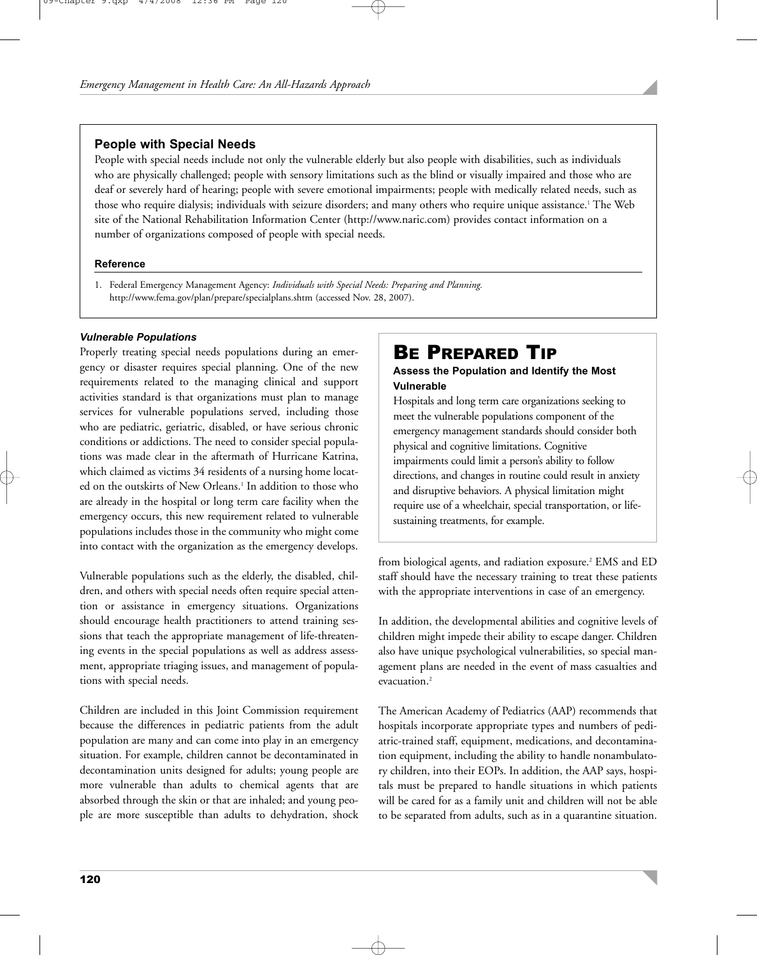#### **People with Special Needs**

People with special needs include not only the vulnerable elderly but also people with disabilities, such as individuals who are physically challenged; people with sensory limitations such as the blind or visually impaired and those who are deaf or severely hard of hearing; people with severe emotional impairments; people with medically related needs, such as those who require dialysis; individuals with seizure disorders; and many others who require unique assistance.<sup>1</sup> The Web site of the National Rehabilitation Information Center (http://www.naric.com) provides contact information on a number of organizations composed of people with special needs.

#### **Reference**

1. Federal Emergency Management Agency: *Individuals with Special Needs: Preparing and Planning.* http://www.fema.gov/plan/prepare/specialplans.shtm (accessed Nov. 28, 2007).

#### *Vulnerable Populations*

Properly treating special needs populations during an emergency or disaster requires special planning. One of the new requirements related to the managing clinical and support activities standard is that organizations must plan to manage services for vulnerable populations served, including those who are pediatric, geriatric, disabled, or have serious chronic conditions or addictions. The need to consider special populations was made clear in the aftermath of Hurricane Katrina, which claimed as victims 34 residents of a nursing home located on the outskirts of New Orleans.<sup>1</sup> In addition to those who are already in the hospital or long term care facility when the emergency occurs, this new requirement related to vulnerable populations includes those in the community who might come into contact with the organization as the emergency develops.

Vulnerable populations such as the elderly, the disabled, children, and others with special needs often require special attention or assistance in emergency situations. Organizations should encourage health practitioners to attend training sessions that teach the appropriate management of life-threatening events in the special populations as well as address assessment, appropriate triaging issues, and management of populations with special needs.

Children are included in this Joint Commission requirement because the differences in pediatric patients from the adult population are many and can come into play in an emergency situation. For example, children cannot be decontaminated in decontamination units designed for adults; young people are more vulnerable than adults to chemical agents that are absorbed through the skin or that are inhaled; and young people are more susceptible than adults to dehydration, shock

## BE PREPARED TIP

#### **Assess the Population and Identify the Most Vulnerable**

Hospitals and long term care organizations seeking to meet the vulnerable populations component of the emergency management standards should consider both physical and cognitive limitations. Cognitive impairments could limit a person's ability to follow directions, and changes in routine could result in anxiety and disruptive behaviors. A physical limitation might require use of a wheelchair, special transportation, or lifesustaining treatments, for example.

from biological agents, and radiation exposure.<sup>2</sup> EMS and ED staff should have the necessary training to treat these patients with the appropriate interventions in case of an emergency.

In addition, the developmental abilities and cognitive levels of children might impede their ability to escape danger. Children also have unique psychological vulnerabilities, so special management plans are needed in the event of mass casualties and evacuation.<sup>2</sup>

The American Academy of Pediatrics (AAP) recommends that hospitals incorporate appropriate types and numbers of pediatric-trained staff, equipment, medications, and decontamination equipment, including the ability to handle nonambulatory children, into their EOPs. In addition, the AAP says, hospitals must be prepared to handle situations in which patients will be cared for as a family unit and children will not be able to be separated from adults, such as in a quarantine situation.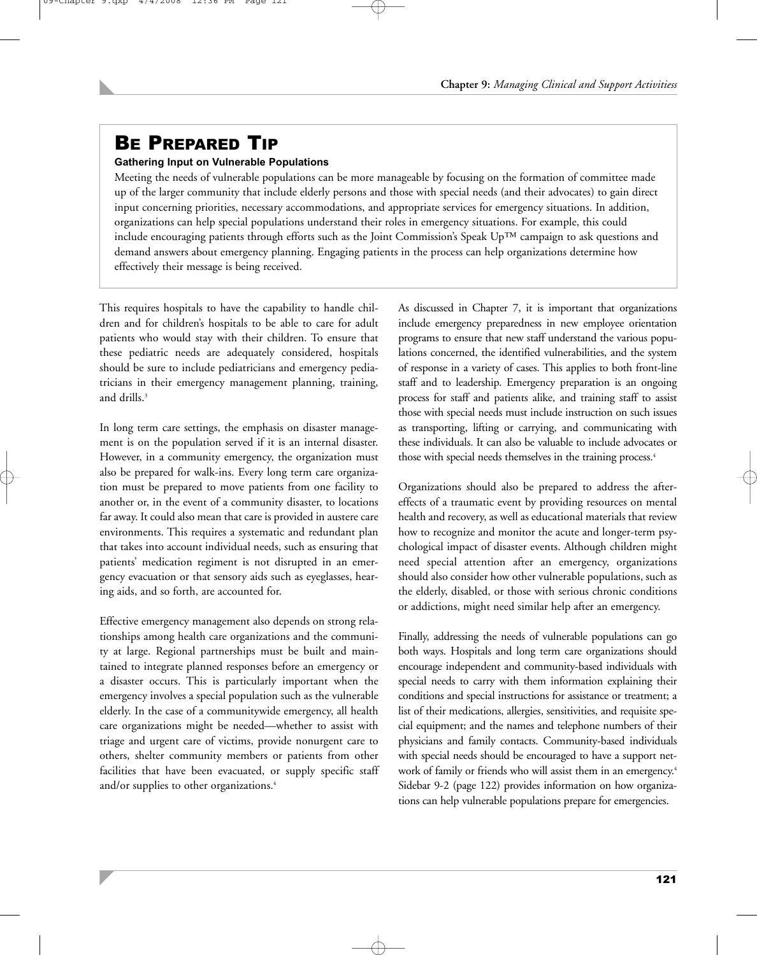# BE PREPARED TIP

#### **Gathering Input on Vulnerable Populations**

Meeting the needs of vulnerable populations can be more manageable by focusing on the formation of committee made up of the larger community that include elderly persons and those with special needs (and their advocates) to gain direct input concerning priorities, necessary accommodations, and appropriate services for emergency situations. In addition, organizations can help special populations understand their roles in emergency situations. For example, this could include encouraging patients through efforts such as the Joint Commission's Speak  $Up^{TM}$  campaign to ask questions and demand answers about emergency planning. Engaging patients in the process can help organizations determine how effectively their message is being received.

This requires hospitals to have the capability to handle children and for children's hospitals to be able to care for adult patients who would stay with their children. To ensure that these pediatric needs are adequately considered, hospitals should be sure to include pediatricians and emergency pediatricians in their emergency management planning, training, and drills.3

In long term care settings, the emphasis on disaster management is on the population served if it is an internal disaster. However, in a community emergency, the organization must also be prepared for walk-ins. Every long term care organization must be prepared to move patients from one facility to another or, in the event of a community disaster, to locations far away. It could also mean that care is provided in austere care environments. This requires a systematic and redundant plan that takes into account individual needs, such as ensuring that patients' medication regiment is not disrupted in an emergency evacuation or that sensory aids such as eyeglasses, hearing aids, and so forth, are accounted for.

Effective emergency management also depends on strong relationships among health care organizations and the community at large. Regional partnerships must be built and maintained to integrate planned responses before an emergency or a disaster occurs. This is particularly important when the emergency involves a special population such as the vulnerable elderly. In the case of a communitywide emergency, all health care organizations might be needed—whether to assist with triage and urgent care of victims, provide nonurgent care to others, shelter community members or patients from other facilities that have been evacuated, or supply specific staff and/or supplies to other organizations.<sup>4</sup>

As discussed in Chapter 7, it is important that organizations include emergency preparedness in new employee orientation programs to ensure that new staff understand the various populations concerned, the identified vulnerabilities, and the system of response in a variety of cases. This applies to both front-line staff and to leadership. Emergency preparation is an ongoing process for staff and patients alike, and training staff to assist those with special needs must include instruction on such issues as transporting, lifting or carrying, and communicating with these individuals. It can also be valuable to include advocates or those with special needs themselves in the training process.<sup>4</sup>

Organizations should also be prepared to address the aftereffects of a traumatic event by providing resources on mental health and recovery, as well as educational materials that review how to recognize and monitor the acute and longer-term psychological impact of disaster events. Although children might need special attention after an emergency, organizations should also consider how other vulnerable populations, such as the elderly, disabled, or those with serious chronic conditions or addictions, might need similar help after an emergency.

Finally, addressing the needs of vulnerable populations can go both ways. Hospitals and long term care organizations should encourage independent and community-based individuals with special needs to carry with them information explaining their conditions and special instructions for assistance or treatment; a list of their medications, allergies, sensitivities, and requisite special equipment; and the names and telephone numbers of their physicians and family contacts. Community-based individuals with special needs should be encouraged to have a support network of family or friends who will assist them in an emergency.<sup>4</sup> Sidebar 9-2 (page 122) provides information on how organizations can help vulnerable populations prepare for emergencies.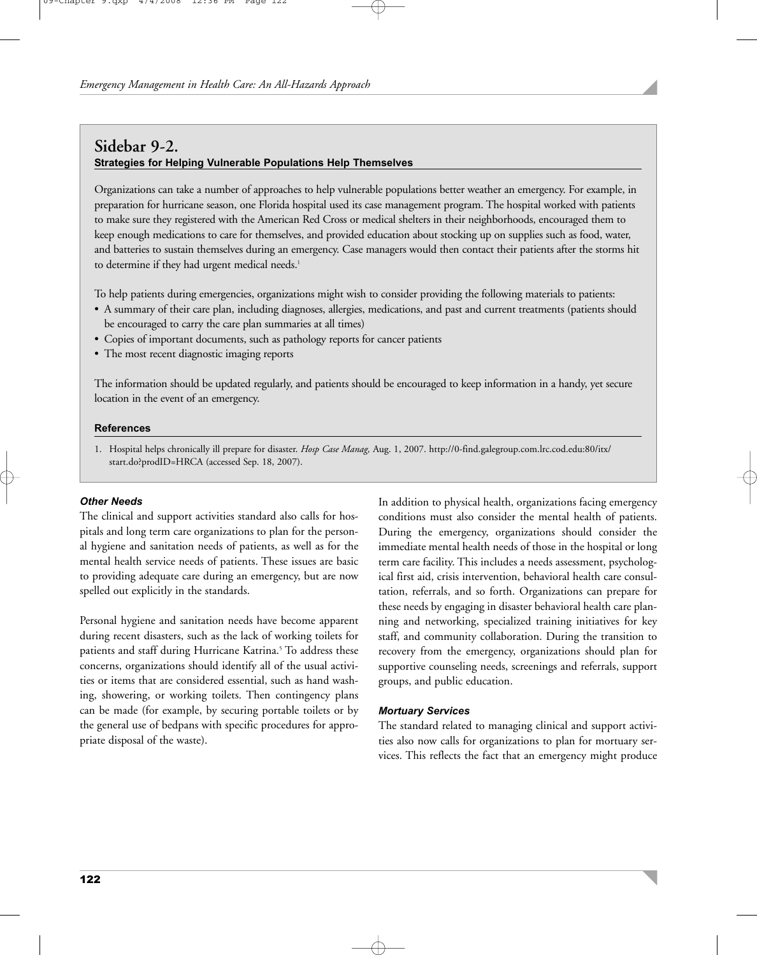#### **Sidebar 9-2. Strategies for Helping Vulnerable Populations Help Themselves**

Organizations can take a number of approaches to help vulnerable populations better weather an emergency. For example, in preparation for hurricane season, one Florida hospital used its case management program. The hospital worked with patients to make sure they registered with the American Red Cross or medical shelters in their neighborhoods, encouraged them to keep enough medications to care for themselves, and provided education about stocking up on supplies such as food, water, and batteries to sustain themselves during an emergency. Case managers would then contact their patients after the storms hit to determine if they had urgent medical needs.<sup>1</sup>

To help patients during emergencies, organizations might wish to consider providing the following materials to patients:

- A summary of their care plan, including diagnoses, allergies, medications, and past and current treatments (patients should be encouraged to carry the care plan summaries at all times)
- Copies of important documents, such as pathology reports for cancer patients
- The most recent diagnostic imaging reports

The information should be updated regularly, and patients should be encouraged to keep information in a handy, yet secure location in the event of an emergency.

#### **References**

1. Hospital helps chronically ill prepare for disaster. *Hosp Case Manag,* Aug. 1, 2007. http://0-find.galegroup.com.lrc.cod.edu:80/itx/ start.do?prodID=HRCA (accessed Sep. 18, 2007).

#### *Other Needs*

The clinical and support activities standard also calls for hospitals and long term care organizations to plan for the personal hygiene and sanitation needs of patients, as well as for the mental health service needs of patients. These issues are basic to providing adequate care during an emergency, but are now spelled out explicitly in the standards.

Personal hygiene and sanitation needs have become apparent during recent disasters, such as the lack of working toilets for patients and staff during Hurricane Katrina.<sup>5</sup> To address these concerns, organizations should identify all of the usual activities or items that are considered essential, such as hand washing, showering, or working toilets. Then contingency plans can be made (for example, by securing portable toilets or by the general use of bedpans with specific procedures for appropriate disposal of the waste).

In addition to physical health, organizations facing emergency conditions must also consider the mental health of patients. During the emergency, organizations should consider the immediate mental health needs of those in the hospital or long term care facility. This includes a needs assessment, psychological first aid, crisis intervention, behavioral health care consultation, referrals, and so forth. Organizations can prepare for these needs by engaging in disaster behavioral health care planning and networking, specialized training initiatives for key staff, and community collaboration. During the transition to recovery from the emergency, organizations should plan for supportive counseling needs, screenings and referrals, support groups, and public education.

#### *Mortuary Services*

The standard related to managing clinical and support activities also now calls for organizations to plan for mortuary services. This reflects the fact that an emergency might produce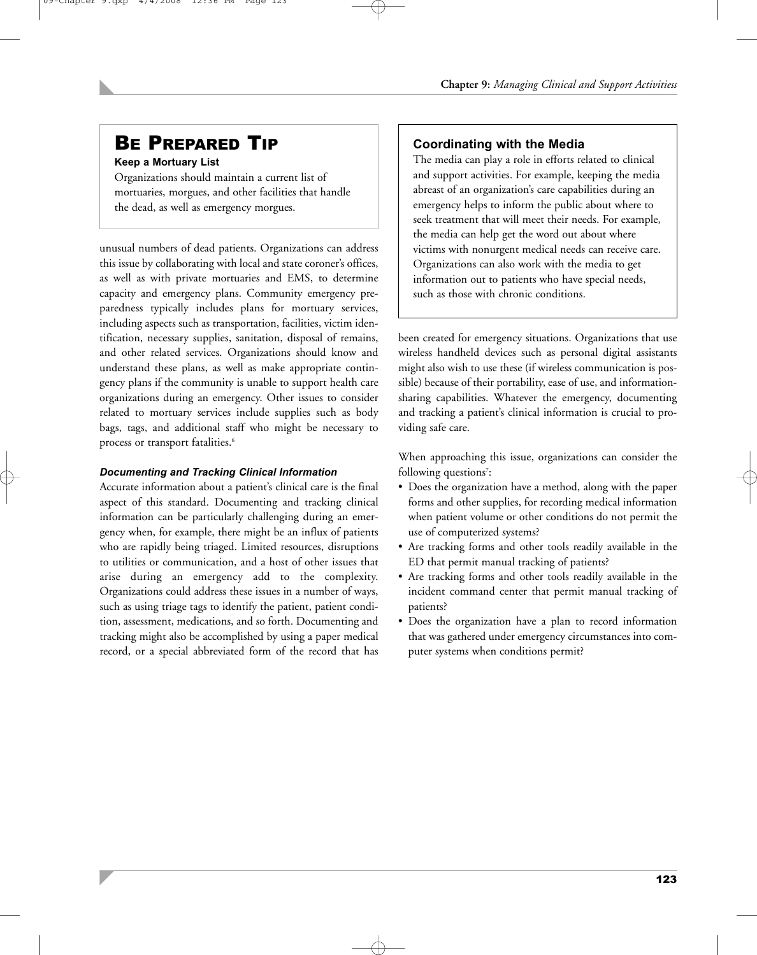#### **Keep a Mortuary List**

Organizations should maintain a current list of mortuaries, morgues, and other facilities that handle the dead, as well as emergency morgues.

unusual numbers of dead patients. Organizations can address this issue by collaborating with local and state coroner's offices, as well as with private mortuaries and EMS, to determine capacity and emergency plans. Community emergency preparedness typically includes plans for mortuary services, including aspects such as transportation, facilities, victim identification, necessary supplies, sanitation, disposal of remains, and other related services. Organizations should know and understand these plans, as well as make appropriate contingency plans if the community is unable to support health care organizations during an emergency. Other issues to consider related to mortuary services include supplies such as body bags, tags, and additional staff who might be necessary to process or transport fatalities.<sup>6</sup>

#### *Documenting and Tracking Clinical Information*

Accurate information about a patient's clinical care is the final aspect of this standard. Documenting and tracking clinical information can be particularly challenging during an emergency when, for example, there might be an influx of patients who are rapidly being triaged. Limited resources, disruptions to utilities or communication, and a host of other issues that arise during an emergency add to the complexity. Organizations could address these issues in a number of ways, such as using triage tags to identify the patient, patient condition, assessment, medications, and so forth. Documenting and tracking might also be accomplished by using a paper medical record, or a special abbreviated form of the record that has

## BE PREPARED TIP **Coordinating with the Media**

The media can play a role in efforts related to clinical and support activities. For example, keeping the media abreast of an organization's care capabilities during an emergency helps to inform the public about where to seek treatment that will meet their needs. For example, the media can help get the word out about where victims with nonurgent medical needs can receive care. Organizations can also work with the media to get information out to patients who have special needs, such as those with chronic conditions.

been created for emergency situations. Organizations that use wireless handheld devices such as personal digital assistants might also wish to use these (if wireless communication is possible) because of their portability, ease of use, and informationsharing capabilities. Whatever the emergency, documenting and tracking a patient's clinical information is crucial to providing safe care.

When approaching this issue, organizations can consider the following questions<sup>7</sup>:

- Does the organization have a method, along with the paper forms and other supplies, for recording medical information when patient volume or other conditions do not permit the use of computerized systems?
- Are tracking forms and other tools readily available in the ED that permit manual tracking of patients?
- Are tracking forms and other tools readily available in the incident command center that permit manual tracking of patients?
- Does the organization have a plan to record information that was gathered under emergency circumstances into computer systems when conditions permit?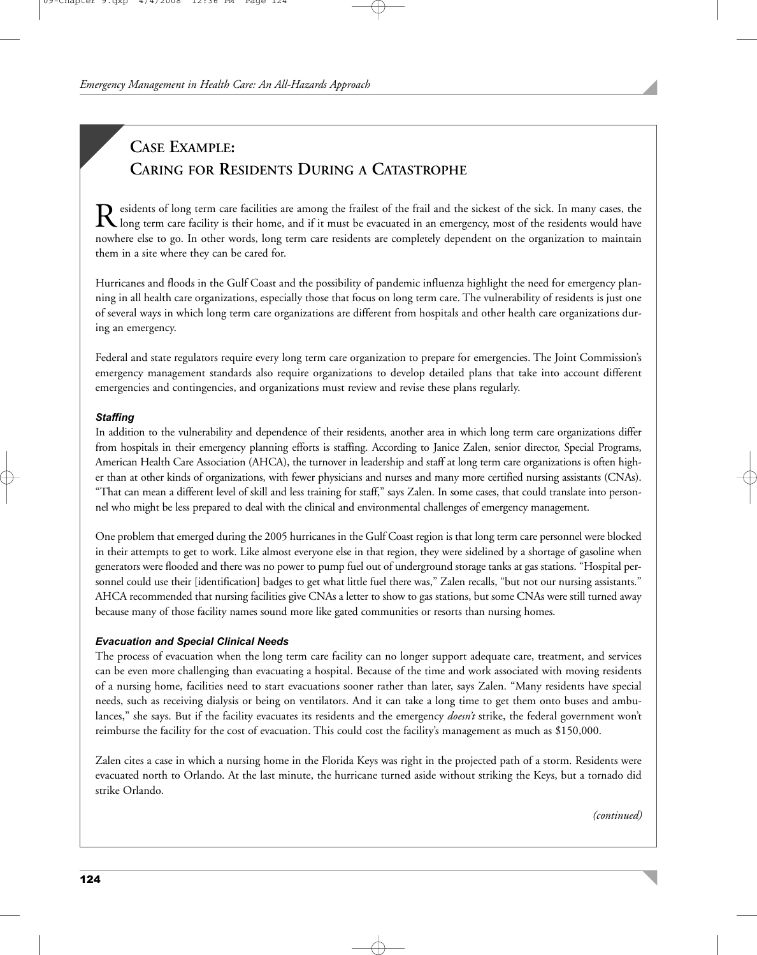## **CASE EXAMPLE: CARING FOR RESIDENTS DURING A CATASTROPHE**

Residents of long term care facilities are among the frailest of the frail and the sickest of the sick. In many cases, the long term care facility is their home, and if it must be evacuated in an emergency, most of the res nowhere else to go. In other words, long term care residents are completely dependent on the organization to maintain them in a site where they can be cared for.

Hurricanes and floods in the Gulf Coast and the possibility of pandemic influenza highlight the need for emergency planning in all health care organizations, especially those that focus on long term care. The vulnerability of residents is just one of several ways in which long term care organizations are different from hospitals and other health care organizations during an emergency.

Federal and state regulators require every long term care organization to prepare for emergencies. The Joint Commission's emergency management standards also require organizations to develop detailed plans that take into account different emergencies and contingencies, and organizations must review and revise these plans regularly.

#### *Staffing*

In addition to the vulnerability and dependence of their residents, another area in which long term care organizations differ from hospitals in their emergency planning efforts is staffing. According to Janice Zalen, senior director, Special Programs, American Health Care Association (AHCA), the turnover in leadership and staff at long term care organizations is often higher than at other kinds of organizations, with fewer physicians and nurses and many more certified nursing assistants (CNAs). "That can mean a different level of skill and less training for staff," says Zalen. In some cases, that could translate into personnel who might be less prepared to deal with the clinical and environmental challenges of emergency management.

One problem that emerged during the 2005 hurricanes in the Gulf Coast region is that long term care personnel were blocked in their attempts to get to work. Like almost everyone else in that region, they were sidelined by a shortage of gasoline when generators were flooded and there was no power to pump fuel out of underground storage tanks at gas stations. "Hospital personnel could use their [identification] badges to get what little fuel there was," Zalen recalls, "but not our nursing assistants." AHCA recommended that nursing facilities give CNAs a letter to show to gas stations, but some CNAs were still turned away because many of those facility names sound more like gated communities or resorts than nursing homes.

#### *Evacuation and Special Clinical Needs*

The process of evacuation when the long term care facility can no longer support adequate care, treatment, and services can be even more challenging than evacuating a hospital. Because of the time and work associated with moving residents of a nursing home, facilities need to start evacuations sooner rather than later, says Zalen. "Many residents have special needs, such as receiving dialysis or being on ventilators. And it can take a long time to get them onto buses and ambulances," she says. But if the facility evacuates its residents and the emergency *doesn't* strike, the federal government won't reimburse the facility for the cost of evacuation. This could cost the facility's management as much as \$150,000.

Zalen cites a case in which a nursing home in the Florida Keys was right in the projected path of a storm. Residents were evacuated north to Orlando. At the last minute, the hurricane turned aside without striking the Keys, but a tornado did strike Orlando.

*(continued)*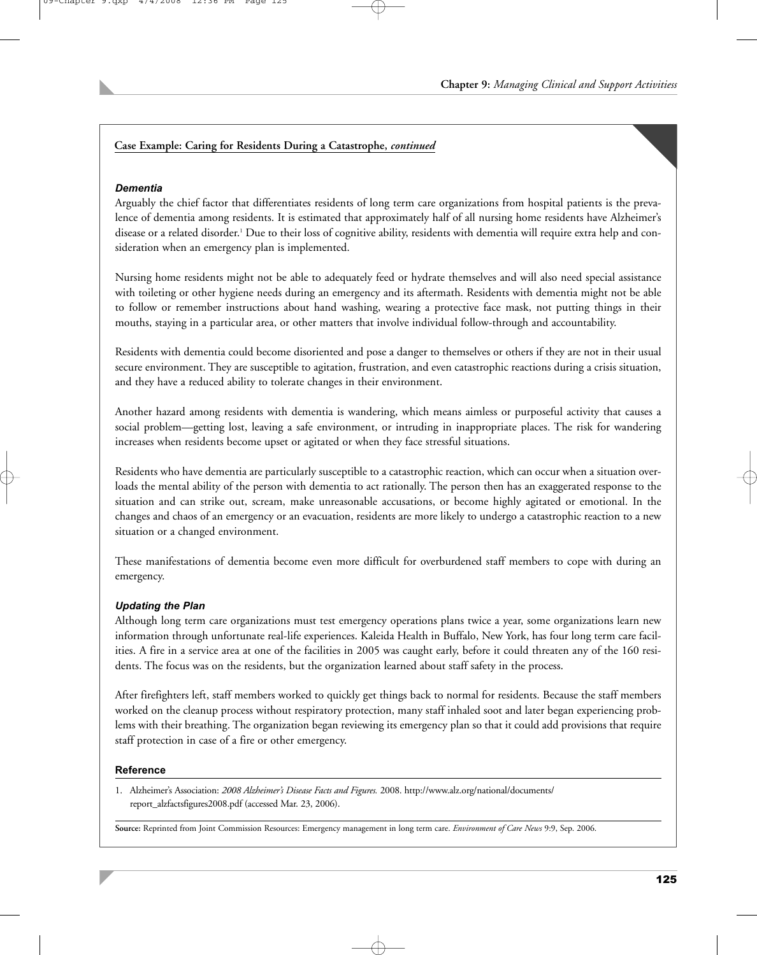#### **Case Example: Caring for Residents During a Catastrophe,** *continued*

#### *Dementia*

Arguably the chief factor that differentiates residents of long term care organizations from hospital patients is the prevalence of dementia among residents. It is estimated that approximately half of all nursing home residents have Alzheimer's disease or a related disorder.1 Due to their loss of cognitive ability, residents with dementia will require extra help and consideration when an emergency plan is implemented.

Nursing home residents might not be able to adequately feed or hydrate themselves and will also need special assistance with toileting or other hygiene needs during an emergency and its aftermath. Residents with dementia might not be able to follow or remember instructions about hand washing, wearing a protective face mask, not putting things in their mouths, staying in a particular area, or other matters that involve individual follow-through and accountability.

Residents with dementia could become disoriented and pose a danger to themselves or others if they are not in their usual secure environment. They are susceptible to agitation, frustration, and even catastrophic reactions during a crisis situation, and they have a reduced ability to tolerate changes in their environment.

Another hazard among residents with dementia is wandering, which means aimless or purposeful activity that causes a social problem—getting lost, leaving a safe environment, or intruding in inappropriate places. The risk for wandering increases when residents become upset or agitated or when they face stressful situations.

Residents who have dementia are particularly susceptible to a catastrophic reaction, which can occur when a situation overloads the mental ability of the person with dementia to act rationally. The person then has an exaggerated response to the situation and can strike out, scream, make unreasonable accusations, or become highly agitated or emotional. In the changes and chaos of an emergency or an evacuation, residents are more likely to undergo a catastrophic reaction to a new situation or a changed environment.

These manifestations of dementia become even more difficult for overburdened staff members to cope with during an emergency.

#### *Updating the Plan*

Although long term care organizations must test emergency operations plans twice a year, some organizations learn new information through unfortunate real-life experiences. Kaleida Health in Buffalo, New York, has four long term care facilities. A fire in a service area at one of the facilities in 2005 was caught early, before it could threaten any of the 160 residents. The focus was on the residents, but the organization learned about staff safety in the process.

After firefighters left, staff members worked to quickly get things back to normal for residents. Because the staff members worked on the cleanup process without respiratory protection, many staff inhaled soot and later began experiencing problems with their breathing. The organization began reviewing its emergency plan so that it could add provisions that require staff protection in case of a fire or other emergency.

#### **Reference**

1. Alzheimer's Association: *2008 Alzheimer's Disease Facts and Figures.* 2008. http://www.alz.org/national/documents/ report\_alzfactsfigures2008.pdf (accessed Mar. 23, 2006).

**Source:** Reprinted from Joint Commission Resources: Emergency management in long term care. *Environment of Care News* 9:9, Sep. 2006.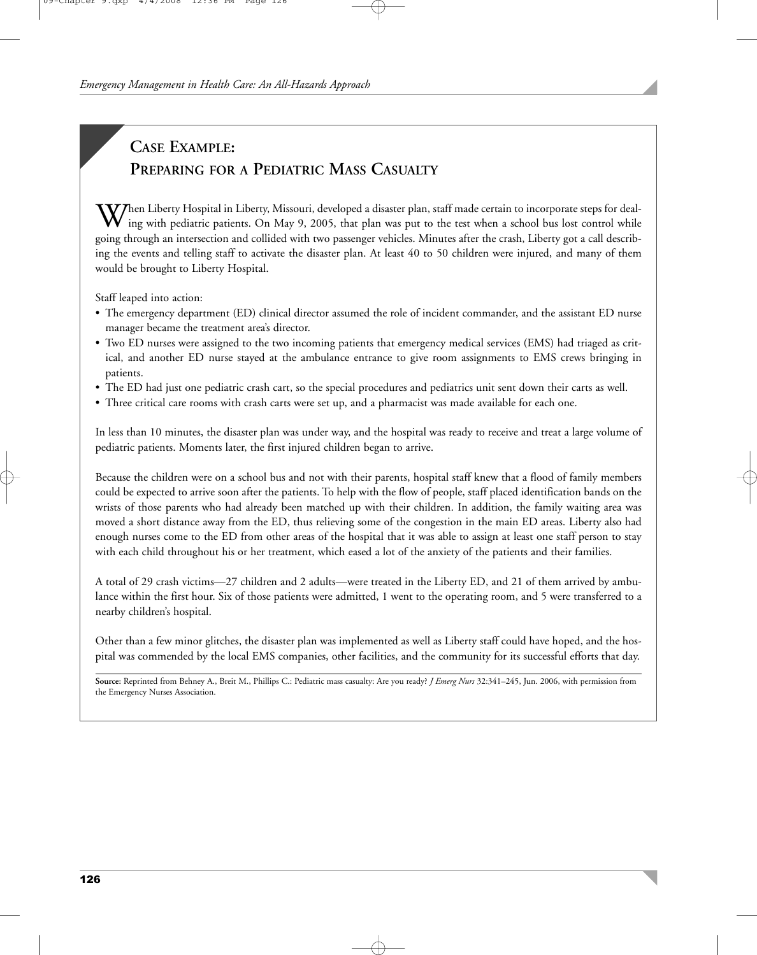## **CASE EXAMPLE: PREPARING FOR A PEDIATRIC MASS CASUALTY**

 $\Delta V$ hen Liberty Hospital in Liberty, Missouri, developed a disaster plan, staff made certain to incorporate steps for dealing with pediatric patients. On May 9, 2005, that plan was put to the test when a school bus lost control while going through an intersection and collided with two passenger vehicles. Minutes after the crash, Liberty got a call describing the events and telling staff to activate the disaster plan. At least 40 to 50 children were injured, and many of them would be brought to Liberty Hospital.

Staff leaped into action:

- The emergency department (ED) clinical director assumed the role of incident commander, and the assistant ED nurse manager became the treatment area's director.
- Two ED nurses were assigned to the two incoming patients that emergency medical services (EMS) had triaged as critical, and another ED nurse stayed at the ambulance entrance to give room assignments to EMS crews bringing in patients.
- The ED had just one pediatric crash cart, so the special procedures and pediatrics unit sent down their carts as well.
- Three critical care rooms with crash carts were set up, and a pharmacist was made available for each one.

In less than 10 minutes, the disaster plan was under way, and the hospital was ready to receive and treat a large volume of pediatric patients. Moments later, the first injured children began to arrive.

Because the children were on a school bus and not with their parents, hospital staff knew that a flood of family members could be expected to arrive soon after the patients. To help with the flow of people, staff placed identification bands on the wrists of those parents who had already been matched up with their children. In addition, the family waiting area was moved a short distance away from the ED, thus relieving some of the congestion in the main ED areas. Liberty also had enough nurses come to the ED from other areas of the hospital that it was able to assign at least one staff person to stay with each child throughout his or her treatment, which eased a lot of the anxiety of the patients and their families.

A total of 29 crash victims—27 children and 2 adults—were treated in the Liberty ED, and 21 of them arrived by ambulance within the first hour. Six of those patients were admitted, 1 went to the operating room, and 5 were transferred to a nearby children's hospital.

Other than a few minor glitches, the disaster plan was implemented as well as Liberty staff could have hoped, and the hospital was commended by the local EMS companies, other facilities, and the community for its successful efforts that day.

**Source:** Reprinted from Behney A., Breit M., Phillips C.: Pediatric mass casualty: Are you ready? *J Emerg Nurs* 32:341–245, Jun. 2006, with permission from the Emergency Nurses Association.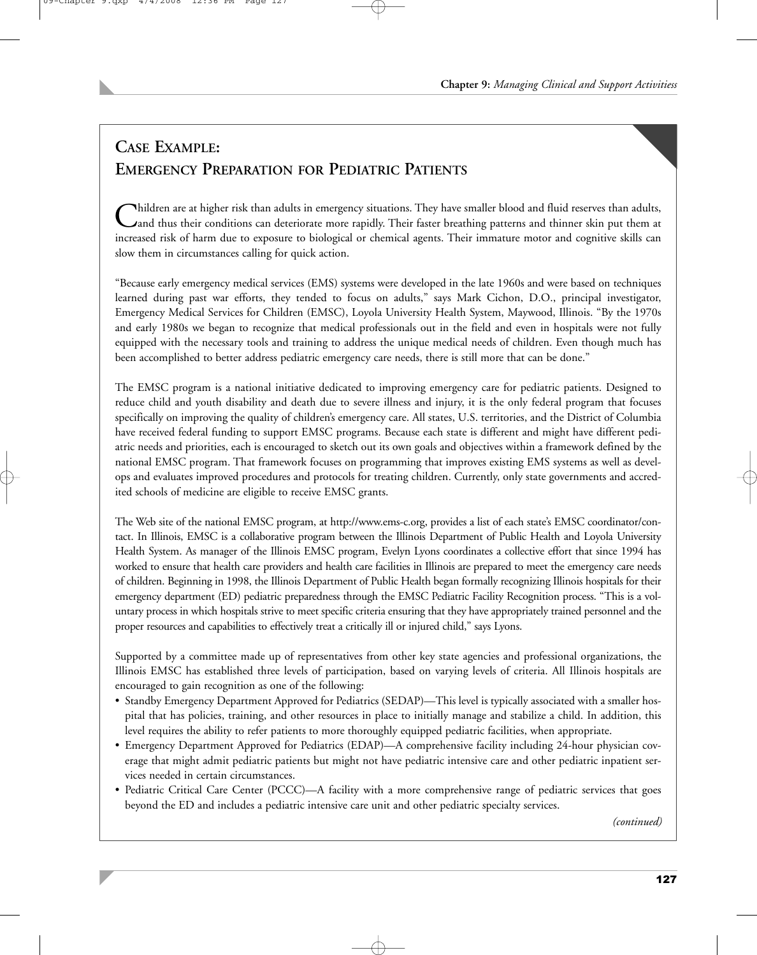## **CASE EXAMPLE: EMERGENCY PREPARATION FOR PEDIATRIC PATIENTS**

Children are at higher risk than adults in emergency situations. They have smaller blood and fluid reserves than adults,<br>Cand thus their conditions can deteriorate more rapidly. Their faster breathing patterns and thinner increased risk of harm due to exposure to biological or chemical agents. Their immature motor and cognitive skills can slow them in circumstances calling for quick action.

"Because early emergency medical services (EMS) systems were developed in the late 1960s and were based on techniques learned during past war efforts, they tended to focus on adults," says Mark Cichon, D.O., principal investigator, Emergency Medical Services for Children (EMSC), Loyola University Health System, Maywood, Illinois. "By the 1970s and early 1980s we began to recognize that medical professionals out in the field and even in hospitals were not fully equipped with the necessary tools and training to address the unique medical needs of children. Even though much has been accomplished to better address pediatric emergency care needs, there is still more that can be done."

The EMSC program is a national initiative dedicated to improving emergency care for pediatric patients. Designed to reduce child and youth disability and death due to severe illness and injury, it is the only federal program that focuses specifically on improving the quality of children's emergency care. All states, U.S. territories, and the District of Columbia have received federal funding to support EMSC programs. Because each state is different and might have different pediatric needs and priorities, each is encouraged to sketch out its own goals and objectives within a framework defined by the national EMSC program. That framework focuses on programming that improves existing EMS systems as well as develops and evaluates improved procedures and protocols for treating children. Currently, only state governments and accredited schools of medicine are eligible to receive EMSC grants.

The Web site of the national EMSC program, at http://www.ems-c.org, provides a list of each state's EMSC coordinator/contact. In Illinois, EMSC is a collaborative program between the Illinois Department of Public Health and Loyola University Health System. As manager of the Illinois EMSC program, Evelyn Lyons coordinates a collective effort that since 1994 has worked to ensure that health care providers and health care facilities in Illinois are prepared to meet the emergency care needs of children. Beginning in 1998, the Illinois Department of Public Health began formally recognizing Illinois hospitals for their emergency department (ED) pediatric preparedness through the EMSC Pediatric Facility Recognition process. "This is a voluntary process in which hospitals strive to meet specific criteria ensuring that they have appropriately trained personnel and the proper resources and capabilities to effectively treat a critically ill or injured child," says Lyons.

Supported by a committee made up of representatives from other key state agencies and professional organizations, the Illinois EMSC has established three levels of participation, based on varying levels of criteria. All Illinois hospitals are encouraged to gain recognition as one of the following:

- Standby Emergency Department Approved for Pediatrics (SEDAP)—This level is typically associated with a smaller hospital that has policies, training, and other resources in place to initially manage and stabilize a child. In addition, this level requires the ability to refer patients to more thoroughly equipped pediatric facilities, when appropriate.
- Emergency Department Approved for Pediatrics (EDAP)—A comprehensive facility including 24-hour physician coverage that might admit pediatric patients but might not have pediatric intensive care and other pediatric inpatient services needed in certain circumstances.
- Pediatric Critical Care Center (PCCC)—A facility with a more comprehensive range of pediatric services that goes beyond the ED and includes a pediatric intensive care unit and other pediatric specialty services.

*(continued)*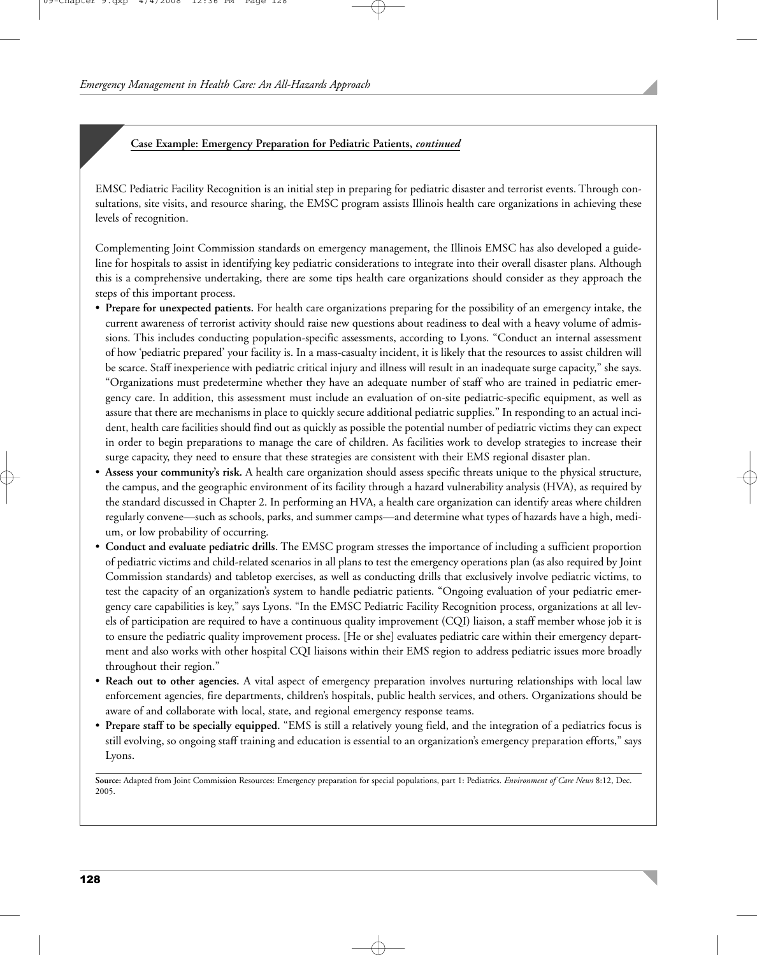#### **Case Example: Emergency Preparation for Pediatric Patients,** *continued*

EMSC Pediatric Facility Recognition is an initial step in preparing for pediatric disaster and terrorist events. Through consultations, site visits, and resource sharing, the EMSC program assists Illinois health care organizations in achieving these levels of recognition.

Complementing Joint Commission standards on emergency management, the Illinois EMSC has also developed a guideline for hospitals to assist in identifying key pediatric considerations to integrate into their overall disaster plans. Although this is a comprehensive undertaking, there are some tips health care organizations should consider as they approach the steps of this important process.

- **Prepare for unexpected patients.** For health care organizations preparing for the possibility of an emergency intake, the current awareness of terrorist activity should raise new questions about readiness to deal with a heavy volume of admissions. This includes conducting population-specific assessments, according to Lyons. "Conduct an internal assessment of how 'pediatric prepared' your facility is. In a mass-casualty incident, it is likely that the resources to assist children will be scarce. Staff inexperience with pediatric critical injury and illness will result in an inadequate surge capacity," she says. "Organizations must predetermine whether they have an adequate number of staff who are trained in pediatric emergency care. In addition, this assessment must include an evaluation of on-site pediatric-specific equipment, as well as assure that there are mechanisms in place to quickly secure additional pediatric supplies." In responding to an actual incident, health care facilities should find out as quickly as possible the potential number of pediatric victims they can expect in order to begin preparations to manage the care of children. As facilities work to develop strategies to increase their surge capacity, they need to ensure that these strategies are consistent with their EMS regional disaster plan.
- **Assess your community's risk.** A health care organization should assess specific threats unique to the physical structure, the campus, and the geographic environment of its facility through a hazard vulnerability analysis (HVA), as required by the standard discussed in Chapter 2. In performing an HVA, a health care organization can identify areas where children regularly convene—such as schools, parks, and summer camps—and determine what types of hazards have a high, medium, or low probability of occurring.
- **Conduct and evaluate pediatric drills.** The EMSC program stresses the importance of including a sufficient proportion of pediatric victims and child-related scenarios in all plans to test the emergency operations plan (as also required by Joint Commission standards) and tabletop exercises, as well as conducting drills that exclusively involve pediatric victims, to test the capacity of an organization's system to handle pediatric patients. "Ongoing evaluation of your pediatric emergency care capabilities is key," says Lyons. "In the EMSC Pediatric Facility Recognition process, organizations at all levels of participation are required to have a continuous quality improvement (CQI) liaison, a staff member whose job it is to ensure the pediatric quality improvement process. [He or she] evaluates pediatric care within their emergency department and also works with other hospital CQI liaisons within their EMS region to address pediatric issues more broadly throughout their region."
- **Reach out to other agencies.** A vital aspect of emergency preparation involves nurturing relationships with local law enforcement agencies, fire departments, children's hospitals, public health services, and others. Organizations should be aware of and collaborate with local, state, and regional emergency response teams.
- **Prepare staff to be specially equipped.** "EMS is still a relatively young field, and the integration of a pediatrics focus is still evolving, so ongoing staff training and education is essential to an organization's emergency preparation efforts," says Lyons.

**Source:** Adapted from Joint Commission Resources: Emergency preparation for special populations, part 1: Pediatrics. *Environment of Care News* 8:12, Dec. 2005.